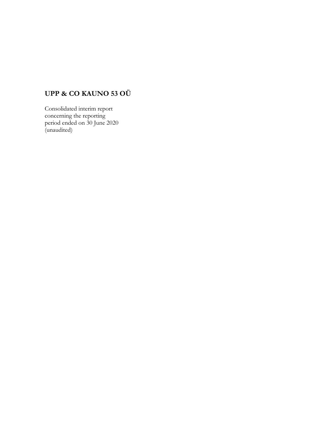# **UPP & CO KAUNO 53 OÜ**

Consolidated interim report concerning the reporting period ended on 30 June 2020 (unaudited)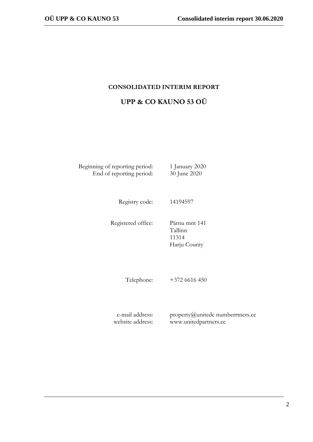# **CONSOLIDATED INTERIM REPORT**

|  |  | UPP & CO KAUNO 53 OÜ |  |
|--|--|----------------------|--|
|  |  |                      |  |

Beginning of reporting period: 1 January 2020 End of reporting period: 30 June 2020

Registry code: 14194597

Registered office: Pärnu mnt 141

Tallinn 11314 Harju County

Telephone: +372 6616 450

e-mail address: website address: property@unitede numberrtners.ee www.unitedpartners.ee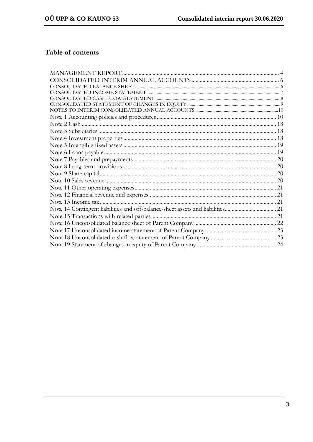# Table of contents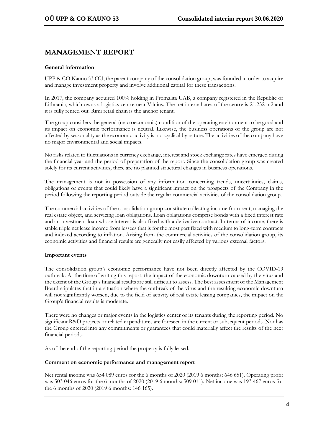# **MANAGEMENT REPORT**

#### **General information**

UPP & CO Kauno 53 OÜ, the parent company of the consolidation group, was founded in order to acquire and manage investment property and involve additional capital for these transactions.

In 2017, the company acquired 100% holding in Promalita UAB, a company registered in the Republic of Lithuania, which owns a logistics centre near Vilnius. The net internal area of the centre is 21,232 m2 and it is fully rented out. Rimi retail chain is the anchor tenant.

The group considers the general (macroeconomic) condition of the operating environment to be good and its impact on economic performance is neutral. Likewise, the business operations of the group are not affected by seasonality as the economic activity is not cyclical by nature. The activities of the company have no major environmental and social impacts.

No risks related to fluctuations in currency exchange, interest and stock exchange rates have emerged during the financial year and the period of preparation of the report. Since the consolidation group was created solely for its current activities, there are no planned structural changes in business operations.

The management is not in possession of any information concerning trends, uncertainties, claims, obligations or events that could likely have a significant impact on the prospects of the Company in the period following the reporting period outside the regular commercial activities of the consolidation group.

The commercial activities of the consolidation group constitute collecting income from rent, managing the real estate object, and servicing loan obligations. Loan obligations comprise bonds with a fixed interest rate and an investment loan whose interest is also fixed with a derivative contract. In terms of income, there is stable triple net lease income from lessees that is for the most part fixed with medium to long-term contracts and indexed according to inflation. Arising from the commercial activities of the consolidation group, its economic activities and financial results are generally not easily affected by various external factors.

#### **Important events**

The consolidation group's economic performance have not been directly affected by the COVID-19 outbreak. At the time of writing this report, the impact of the economic downturn caused by the virus and the extent of the Group's financial results are still difficult to assess. The best assessment of the Management Board stipulates that in a situation where the outbreak of the virus and the resulting economic downturn will not significantly worsen, due to the field of activity of real estate leasing companies, the impact on the Group's financial results is moderate.

There were no changes or major events in the logistics center or its tenants during the reporting period. No significant R&D projects or related expenditures are foreseen in the current or subsequent periods. Nor has the Group entered into any commitments or guarantees that could materially affect the results of the next financial periods.

As of the end of the reporting period the property is fully leased.

#### **Comment on economic performance and management report**

Net rental income was 654 089 euros for the 6 months of 2020 (2019 6 months: 646 651). Operating profit was 503 046 euros for the 6 months of 2020 (2019 6 months: 509 011). Net income was 193 467 euros for the 6 months of 2020 (2019 6 months: 146 165).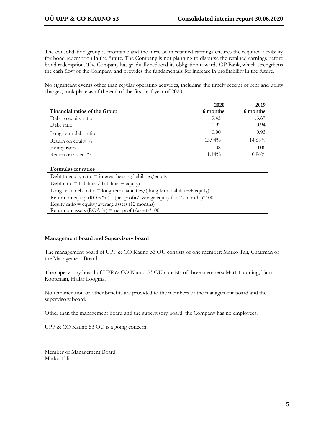The consolidation group is profitable and the increase in retained earnings ensures the required flexibility for bond redemption in the future. The Company is not planning to disburse the retained earnings before bond redemption. The Company has gradually reduced its obligation towards OP Bank, which strengthens the cash flow of the Company and provides the fundamentals for increase in profitability in the future.

No significant events other than regular operating activities, including the timely receipt of rent and utility charges, took place as of the end of the first half-year of 2020.

|                               | 2020      | 2019     |
|-------------------------------|-----------|----------|
| Financial ratios of the Group | 6 months  | 6 months |
| Debt to equity ratio          | 9.45      | 13.67    |
| Debt ratio                    | 0.92      | 0.94     |
| Long-term debt ratio          | 0.90      | 0.93     |
| Return on equity %            | $13.94\%$ | 14.68%   |
| Equity ratio                  | 0.08      | 0.06     |
| Return on assets $\%$         | $1.14\%$  | 0.86%    |

#### **Formulas for ratios**

Debt to equity ratio = interest bearing liabilities/equity Debt ratio =  $liability$  (liabilities + equity) Long-term debt ratio  $=$  long-term liabilities/(long-term liabilities  $+$  equity) Return on equity (ROE %) = (net profit/average equity for 12 months)  $*100$ Equity ratio  $=$  equity/average assets (12 months) Return on assets (ROA  $\%$ ) = net profit/assets\*100

#### **Management board and Supervisory board**

The management board of UPP & CO Kauno 53 OÜ consists of one member: Marko Tali, Chairman of the Management Board.

The supervisory board of UPP & CO Kauno 53 OÜ consists of three members: Mart Tooming, Tarmo Rooteman, Hallar Loogma.

No remuneration or other benefits are provided to the members of the management board and the supervisory board.

Other than the management board and the supervisory board, the Company has no employees.

UPP & CO Kauno 53 OÜ is a going concern.

Member of Management Board Marko Tali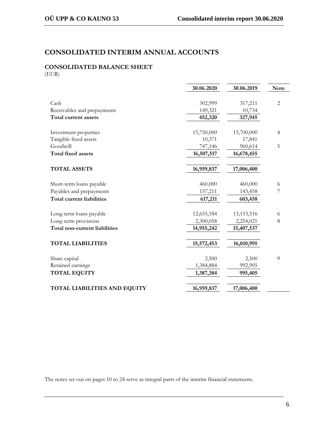# **CONSOLIDATED INTERIM ANNUAL ACCOUNTS**

# **CONSOLIDATED BALANCE SHEET**

(EUR)

|                                      | 30.06.2020 | 30.06.2019   | <b>Note</b>    |
|--------------------------------------|------------|--------------|----------------|
|                                      |            |              |                |
| Cash                                 | 302,999    | 317,211      | $\overline{2}$ |
| Receivables and prepayments          | 149,321    | 10,734       |                |
| Total current assets                 | 452,320    | 327,945      |                |
|                                      |            |              |                |
| Investment properties                | 15,750,000 | 15,700,000   | 4              |
| Tangible fixed assets                | 10,371     | 17,841       |                |
| Goodwill                             | 747,146    | 960,614      | 5              |
| <b>Total fixed assets</b>            | 16,507,517 | 16,678,455   |                |
|                                      |            |              |                |
| <b>TOTAL ASSETS</b>                  | 16,959,837 | 17,006,400   |                |
|                                      |            |              |                |
| Short-term loans payable             | 460,000    | 460,000      | 6              |
| Payables and prepayments             | 157,211    | 143,458      | 7              |
| <b>Total current liabilities</b>     | 617,211    | 603,458      |                |
|                                      |            |              |                |
| Long-term loans payable              | 12,655,184 | 13, 153, 516 | 6              |
| Long-term provisions                 | 2,300,058  | 2,254,021    | 8              |
| <b>Total non-current liabilities</b> | 14,955,242 | 15,407,537   |                |
|                                      |            |              |                |
| <b>TOTAL LIABILITIES</b>             | 15,572,453 | 16,010,995   |                |
|                                      |            |              |                |
| Share capital                        | 2,500      | 2,500        | 9              |
| Retained earnings                    | 1,384,884  | 992,905      |                |
| <b>TOTAL EQUITY</b>                  | 1,387,384  | 995,405      |                |
| <b>TOTAL LIABILITIES AND EQUITY</b>  |            | 17,006,400   |                |
|                                      | 16,959,837 |              |                |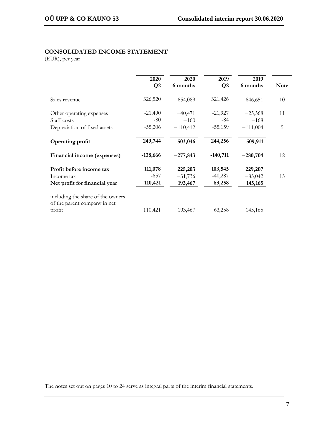## **CONSOLIDATED INCOME STATEMENT**

(EUR), per year

|                                                                   | 2020         | 2020       | 2019          | 2019       |             |
|-------------------------------------------------------------------|--------------|------------|---------------|------------|-------------|
|                                                                   | $\mathbf{Q}$ | 6 months   | $\mathbf{Q}2$ | 6 months   | <b>Note</b> |
|                                                                   |              |            |               |            |             |
| Sales revenue                                                     | 326,520      | 654,089    | 321,426       | 646,651    | 10          |
| Other operating expenses                                          | $-21,490$    | $-40,471$  | $-21,927$     | $-25,568$  | 11          |
| Staff costs                                                       | $-80$        | $-160$     | -84           | $-168$     |             |
| Depreciation of fixed assets                                      | $-55,206$    | $-110,412$ | $-55,159$     | $-111,004$ | 5           |
| <b>Operating profit</b>                                           | 249,744      | 503,046    | 244,256       | 509,911    |             |
| Financial income (expenses)                                       | $-138,666$   | $-277,843$ | $-140,711$    | $-280,704$ | 12          |
| Profit before income tax                                          | 111,078      | 225,203    | 103,545       | 229,207    |             |
| Income tax                                                        | $-657$       | $-31,736$  | $-40,287$     | $-83,042$  | 13          |
| Net profit for financial year                                     | 110,421      | 193,467    | 63,258        | 145,165    |             |
| including the share of the owners<br>of the parent company in net |              |            |               |            |             |
| profit                                                            | 110,421      | 193,467    | 63,258        | 145,165    |             |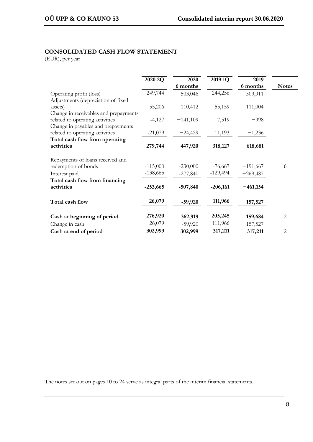# **CONSOLIDATED CASH FLOW STATEMENT**

(EUR), per year

|                                                                       | 2020 2Q    | 2020<br>6 months | 2019 1Q    | 2019<br>6 months | <b>Notes</b>   |
|-----------------------------------------------------------------------|------------|------------------|------------|------------------|----------------|
| Operating profit (loss)<br>Adjustments (depreciation of fixed         | 249,744    | 503,046          | 244,256    | 509,911          |                |
| assets)<br>Change in receivables and prepayments                      | 55,206     | 110,412          | 55,159     | 111,004          |                |
| related to operating activities<br>Change in payables and prepayments | $-4,127$   | $-141,109$       | 7,519      | $-998$           |                |
| related to operating activities<br>Total cash flow from operating     | $-21,079$  | $-24,429$        | 11,193     | $-1,236$         |                |
| activities                                                            | 279,744    | 447,920          | 318,127    | 618,681          |                |
| Repayments of loans received and                                      |            |                  |            |                  |                |
| redemption of bonds                                                   | $-115,000$ | $-230,000$       | $-76,667$  | $-191,667$       | 6              |
| Interest paid                                                         | $-138,665$ | $-277,840$       | $-129,494$ | $-269,487$       |                |
| Total cash flow from financing                                        |            |                  |            |                  |                |
| activities                                                            | $-253,665$ | $-507,840$       | $-206,161$ | $-461,154$       |                |
| Total cash flow                                                       | 26,079     | $-59,920$        | 111,966    | 157,527          |                |
| Cash at beginning of period                                           | 276,920    | 362,919          | 205,245    | 159,684          | $\overline{2}$ |
| Change in cash                                                        | 26,079     | $-59,920$        | 111,966    | 157,527          |                |
| Cash at end of period                                                 | 302,999    | 302,999          | 317,211    | 317,211          | $\overline{c}$ |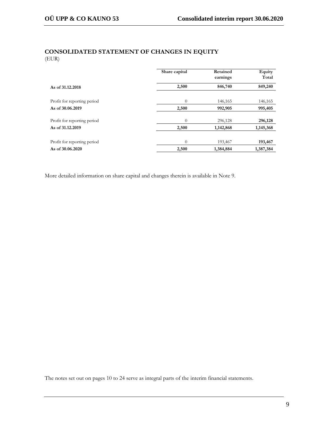# **CONSOLIDATED STATEMENT OF CHANGES IN EQUITY** (EUR)

|                             | Share capital  | Retained<br>earnings | Equity<br>Total |
|-----------------------------|----------------|----------------------|-----------------|
| As of 31,12,2018            | 2,500          | 846,740              | 849,240         |
| Profit for reporting period | $\theta$       | 146,165              | 146,165         |
| As of 30.06.2019            | 2,500          | 992,905              | 995,405         |
| Profit for reporting period | $\Omega$       | 296,128              | 296,128         |
| As of 31.12.2019            | 2,500          | 1,142,868            | 1,145,368       |
| Profit for reporting period | $\overline{0}$ | 193,467              | 193,467         |
| As of 30.06.2020            | 2,500          | 1,384,884            | 1,387,384       |

More detailed information on share capital and changes therein is available in Note 9.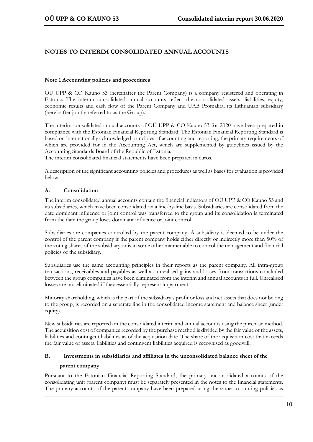# **NOTES TO INTERIM CONSOLIDATED ANNUAL ACCOUNTS**

### **Note 1 Accounting policies and procedures**

OÜ UPP & CO Kauno 53 (hereinafter the Parent Company) is a company registered and operating in Estonia. The interim consolidated annual accounts reflect the consolidated assets, liabilities, equity, economic results and cash flow of the Parent Company and UAB Promalita, its Lithuanian subsidiary (hereinafter jointly referred to as the Group).

The interim consolidated annual accounts of OÜ UPP & CO Kauno 53 for 2020 have been prepared in compliance with the Estonian Financial Reporting Standard. The Estonian Financial Reporting Standard is based on internationally acknowledged principles of accounting and reporting, the primary requirements of which are provided for in the Accounting Act, which are supplemented by guidelines issued by the Accounting Standards Board of the Republic of Estonia.

The interim consolidated financial statements have been prepared in euros.

A description of the significant accounting policies and procedures as well as bases for evaluation is provided below.

# **A. Consolidation**

The interim consolidated annual accounts contain the financial indicators of OÜ UPP & CO Kauno 53 and its subsidiaries, which have been consolidated on a line-by-line basis. Subsidiaries are consolidated from the date dominant influence or joint control was transferred to the group and its consolidation is terminated from the date the group loses dominant influence or joint control.

Subsidiaries are companies controlled by the parent company. A subsidiary is deemed to be under the control of the parent company if the parent company holds either directly or indirectly more than 50% of the voting shares of the subsidiary or is in some other manner able to control the management and financial policies of the subsidiary.

Subsidiaries use the same accounting principles in their reports as the parent company. All intra-group transactions, receivables and payables as well as unrealised gains and losses from transactions concluded between the group companies have been eliminated from the interim and annual accounts in full. Unrealised losses are not eliminated if they essentially represent impairment.

Minority shareholding, which is the part of the subsidiary's profit or loss and net assets that does not belong to the group, is recorded on a separate line in the consolidated income statement and balance sheet (under equity).

New subsidiaries are reported on the consolidated interim and annual accounts using the purchase method. The acquisition cost of companies recorded by the purchase method is divided by the fair value of the assets, liabilities and contingent liabilities as of the acquisition date. The share of the acquisition cost that exceeds the fair value of assets, liabilities and contingent liabilities acquired is recognised as goodwill.

# **B. Investments in subsidiaries and affiliates in the unconsolidated balance sheet of the**

#### **parent company**

Pursuant to the Estonian Financial Reporting Standard, the primary unconsolidated accounts of the consolidating unit (parent company) must be separately presented in the notes to the financial statements. The primary accounts of the parent company have been prepared using the same accounting policies as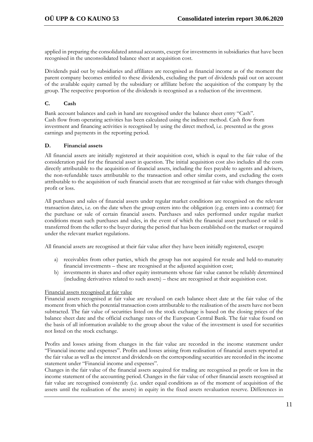applied in preparing the consolidated annual accounts, except for investments in subsidiaries that have been recognised in the unconsolidated balance sheet at acquisition cost.

Dividends paid out by subsidiaries and affiliates are recognised as financial income as of the moment the parent company becomes entitled to these dividends, excluding the part of dividends paid out on account of the available equity earned by the subsidiary or affiliate before the acquisition of the company by the group. The respective proportion of the dividends is recognised as a reduction of the investment.

## **C. Cash**

Bank account balances and cash in hand are recognised under the balance sheet entry "Cash". Cash flow from operating activities has been calculated using the indirect method. Cash flow from investment and financing activities is recognised by using the direct method, i.e. presented as the gross earnings and payments in the reporting period.

### **D. Financial assets**

All financial assets are initially registered at their acquisition cost, which is equal to the fair value of the consideration paid for the financial asset in question. The initial acquisition cost also includes all the costs directly attributable to the acquisition of financial assets, including the fees payable to agents and advisers, the non-refundable taxes attributable to the transaction and other similar costs, and excluding the costs attributable to the acquisition of such financial assets that are recognised at fair value with changes through profit or loss.

All purchases and sales of financial assets under regular market conditions are recognised on the relevant transaction dates, i.e. on the date when the group enters into the obligation (e.g. enters into a contract) for the purchase or sale of certain financial assets. Purchases and sales performed under regular market conditions mean such purchases and sales, in the event of which the financial asset purchased or sold is transferred from the seller to the buyer during the period that has been established on the market or required under the relevant market regulations.

All financial assets are recognised at their fair value after they have been initially registered, except:

- a) receivables from other parties, which the group has not acquired for resale and held-to-maturity financial investments – these are recognised at the adjusted acquisition cost;
- b) investments in shares and other equity instruments whose fair value cannot be reliably determined (including derivatives related to such assets) – these are recognised at their acquisition cost.

#### Financial assets recognised at fair value

Financial assets recognised at fair value are revalued on each balance sheet date at the fair value of the moment from which the potential transaction costs attributable to the realisation of the assets have not been subtracted. The fair value of securities listed on the stock exchange is based on the closing prices of the balance sheet date and the official exchange rates of the European Central Bank. The fair value found on the basis of all information available to the group about the value of the investment is used for securities not listed on the stock exchange.

Profits and losses arising from changes in the fair value are recorded in the income statement under "Financial income and expenses". Profits and losses arising from realisation of financial assets reported at the fair value as well as the interest and dividends on the corresponding securities are recorded in the income statement under "Financial income and expenses".

Changes in the fair value of the financial assets acquired for trading are recognised as profit or loss in the income statement of the accounting period. Changes in the fair value of other financial assets recognised at fair value are recognised consistently (i.e. under equal conditions as of the moment of acquisition of the assets until the realisation of the assets) in equity in the fixed assets revaluation reserve. Differences in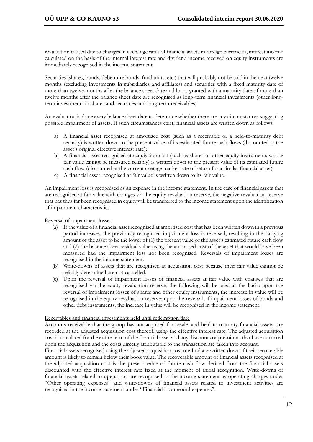revaluation caused due to changes in exchange rates of financial assets in foreign currencies, interest income calculated on the basis of the internal interest rate and dividend income received on equity instruments are immediately recognised in the income statement.

Securities (shares, bonds, debenture bonds, fund units, etc.) that will probably not be sold in the next twelve months (excluding investments in subsidiaries and affiliates) and securities with a fixed maturity date of more than twelve months after the balance sheet date and loans granted with a maturity date of more than twelve months after the balance sheet date are recognised as long-term financial investments (other longterm investments in shares and securities and long-term receivables).

An evaluation is done every balance sheet date to determine whether there are any circumstances suggesting possible impairment of assets. If such circumstances exist, financial assets are written down as follows:

- a) A financial asset recognised at amortised cost (such as a receivable or a held-to-maturity debt security) is written down to the present value of its estimated future cash flows (discounted at the asset's original effective interest rate);
- b) A financial asset recognised at acquisition cost (such as shares or other equity instruments whose fair value cannot be measured reliably) is written down to the present value of its estimated future cash flow (discounted at the current average market rate of return for a similar financial asset);
- c) A financial asset recognised at fair value is written down to its fair value.

An impairment loss is recognised as an expense in the income statement. In the case of financial assets that are recognised at fair value with changes via the equity revaluation reserve, the negative revaluation reserve that has thus far been recognised in equity will be transferred to the income statement upon the identification of impairment characteristics.

Reversal of impairment losses:

- (a) If the value of a financial asset recognised at amortised cost that has been written down in a previous period increases, the previously recognised impairment loss is reversed, resulting in the carrying amount of the asset to be the lower of (1) the present value of the asset's estimated future cash flow and (2) the balance sheet residual value using the amortised cost of the asset that would have been measured had the impairment loss not been recognised. Reversals of impairment losses are recognised in the income statement.
- (b) Write-downs of assets that are recognised at acquisition cost because their fair value cannot be reliably determined are not cancelled.
- (c) Upon the reversal of impairment losses of financial assets at fair value with changes that are recognised via the equity revaluation reserve, the following will be used as the basis: upon the reversal of impairment losses of shares and other equity instruments, the increase in value will be recognised in the equity revaluation reserve; upon the reversal of impairment losses of bonds and other debt instruments, the increase in value will be recognised in the income statement.

#### Receivables and financial investments held until redemption date

Accounts receivable that the group has not acquired for resale, and held-to-maturity financial assets, are recorded at the adjusted acquisition cost thereof, using the effective interest rate. The adjusted acquisition cost is calculated for the entire term of the financial asset and any discounts or premiums that have occurred upon the acquisition and the costs directly attributable to the transaction are taken into account.

Financial assets recognised using the adjusted acquisition cost method are written down if their recoverable amount is likely to remain below their book value. The recoverable amount of financial assets recognised at the adjusted acquisition cost is the present value of future cash flow derived from the financial assets discounted with the effective interest rate fixed at the moment of initial recognition. Write-downs of financial assets related to operations are recognised in the income statement as operating charges under "Other operating expenses" and write-downs of financial assets related to investment activities are recognised in the income statement under "Financial income and expenses".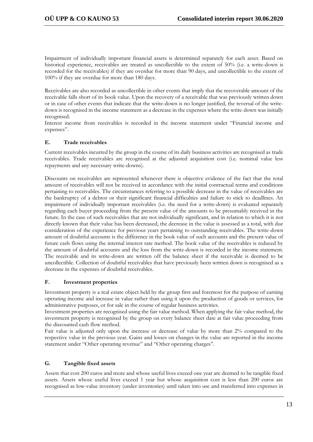Impairment of individually important financial assets is determined separately for each asset. Based on historical experience, receivables are treated as uncollectible to the extent of 50% (i.e. a write-down is recorded for the receivables) if they are overdue for more than 90 days, and uncollectible to the extent of 100% if they are overdue for more than 180 days.

Receivables are also recorded as uncollectible in other events that imply that the recoverable amount of the receivable falls short of its book value. Upon the recovery of a receivable that was previously written down or in case of other events that indicate that the write-down is no longer justified, the reversal of the writedown is recognised in the income statement as a decrease in the expenses where the write-down was initially recognised.

Interest income from receivables is recorded in the income statement under "Financial income and expenses".

# **E. Trade receivables**

Current receivables incurred by the group in the course of its daily business activities are recognised as trade receivables. Trade receivables are recognised at the adjusted acquisition cost (i.e. nominal value less repayments and any necessary write-downs).

Discounts on receivables are represented whenever there is objective evidence of the fact that the total amount of receivables will not be received in accordance with the initial contractual terms and conditions pertaining to receivables. The circumstances referring to a possible decrease in the value of receivables are the bankruptcy of a debtor or their significant financial difficulties and failure to stick to deadlines. An impairment of individually important receivables (i.e. the need for a write-down) is evaluated separately regarding each buyer proceeding from the present value of the amounts to be presumably received in the future. In the case of such receivables that are not individually significant, and in relation to which it is not directly known that their value has been decreased, the decrease in the value is assessed as a total, with due consideration of the experience for previous years pertaining to outstanding receivables. The write-down amount of doubtful accounts is the difference in the book value of such accounts and the present value of future cash flows using the internal interest rate method. The book value of the receivables is reduced by the amount of doubtful accounts and the loss from the write-down is recorded in the income statement. The receivable and its write-down are written off the balance sheet if the receivable is deemed to be uncollectible. Collection of doubtful receivables that have previously been written down is recognised as a decrease in the expenses of doubtful receivables.

# **F. Investment properties**

Investment property is a real estate object held by the group first and foremost for the purpose of earning operating income and increase in value rather than using it upon the production of goods or services, for administrative purposes, or for sale in the course of regular business activities.

Investment properties are recognised using the fair value method. When applying the fair value method, the investment property is recognised by the group on every balance sheet date at fair value proceeding from the discounted cash flow method.

Fair value is adjusted only upon the increase or decrease of value by more than 2% compared to the respective value in the previous year. Gains and losses on changes in the value are reported in the income statement under "Other operating revenue" and "Other operating charges".

# **G. Tangible fixed assets**

Assets that cost 200 euros and more and whose useful lives exceed one year are deemed to be tangible fixed assets. Assets whose useful lives exceed 1 year but whose acquisition cost is less than 200 euros are recognised as low-value inventory (under inventories) until taken into use and transferred into expenses in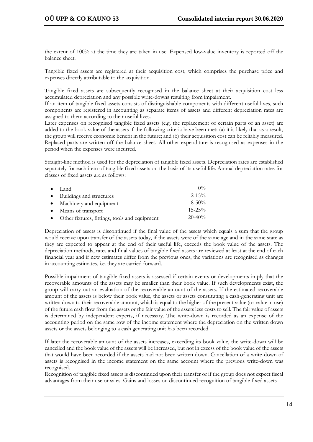the extent of 100% at the time they are taken in use. Expensed low-value inventory is reported off the balance sheet.

Tangible fixed assets are registered at their acquisition cost, which comprises the purchase price and expenses directly attributable to the acquisition.

Tangible fixed assets are subsequently recognised in the balance sheet at their acquisition cost less accumulated depreciation and any possible write-downs resulting from impairment.

If an item of tangible fixed assets consists of distinguishable components with different useful lives, such components are registered in accounting as separate items of assets and different depreciation rates are assigned to them according to their useful lives.

Later expenses on recognised tangible fixed assets (e.g. the replacement of certain parts of an asset) are added to the book value of the assets if the following criteria have been met: (a) it is likely that as a result, the group will receive economic benefit in the future; and (b) their acquisition cost can be reliably measured. Replaced parts are written off the balance sheet. All other expenditure is recognised as expenses in the period when the expenses were incurred.

Straight-line method is used for the depreciation of tangible fixed assets. Depreciation rates are established separately for each item of tangible fixed assets on the basis of its useful life. Annual depreciation rates for classes of fixed assets are as follows:

| $\bullet$ Land                                  | $0\%$       |
|-------------------------------------------------|-------------|
| • Buildings and structures                      | $2 - 15\%$  |
| • Machinery and equipment                       | $8 - 50\%$  |
| • Means of transport                            | $15 - 25\%$ |
| • Other fixtures, fittings, tools and equipment | $20-40%$    |

Depreciation of assets is discontinued if the final value of the assets which equals a sum that the group would receive upon transfer of the assets today, if the assets were of the same age and in the same state as they are expected to appear at the end of their useful life, exceeds the book value of the assets. The depreciation methods, rates and final values of tangible fixed assets are reviewed at least at the end of each financial year and if new estimates differ from the previous ones, the variations are recognised as changes in accounting estimates, i.e. they are carried forward.

Possible impairment of tangible fixed assets is assessed if certain events or developments imply that the recoverable amounts of the assets may be smaller than their book value. If such developments exist, the group will carry out an evaluation of the recoverable amount of the assets. If the estimated recoverable amount of the assets is below their book value, the assets or assets constituting a cash-generating unit are written down to their recoverable amount, which is equal to the higher of the present value (or value in use) of the future cash flow from the assets or the fair value of the assets less costs to sell. The fair value of assets is determined by independent experts, if necessary. The write-down is recorded as an expense of the accounting period on the same row of the income statement where the depreciation on the written down assets or the assets belonging to a cash generating unit has been recorded.

If later the recoverable amount of the assets increases, exceeding its book value, the write-down will be cancelled and the book value of the assets will be increased, but not in excess of the book value of the assets that would have been recorded if the assets had not been written down. Cancellation of a write-down of assets is recognised in the income statement on the same account where the previous write-down was recognised.

Recognition of tangible fixed assets is discontinued upon their transfer or if the group does not expect fiscal advantages from their use or sales. Gains and losses on discontinued recognition of tangible fixed assets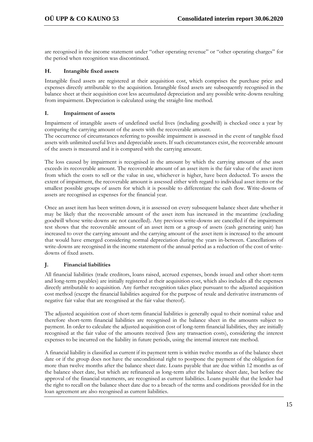are recognised in the income statement under "other operating revenue" or "other operating charges" for the period when recognition was discontinued.

### **H. Intangible fixed assets**

Intangible fixed assets are registered at their acquisition cost, which comprises the purchase price and expenses directly attributable to the acquisition. Intangible fixed assets are subsequently recognised in the balance sheet at their acquisition cost less accumulated depreciation and any possible write-downs resulting from impairment. Depreciation is calculated using the straight-line method.

#### **I. Impairment of assets**

Impairment of intangible assets of undefined useful lives (including goodwill) is checked once a year by comparing the carrying amount of the assets with the recoverable amount.

The occurrence of circumstances referring to possible impairment is assessed in the event of tangible fixed assets with unlimited useful lives and depreciable assets. If such circumstances exist, the recoverable amount of the assets is measured and it is compared with the carrying amount.

The loss caused by impairment is recognised in the amount by which the carrying amount of the asset exceeds its recoverable amount. The recoverable amount of an asset item is the fair value of the asset item from which the costs to sell or the value in use, whichever is higher, have been deducted. To assess the extent of impairment, the recoverable amount is assessed either with regard to individual asset items or the smallest possible groups of assets for which it is possible to differentiate the cash flow. Write-downs of assets are recognised as expenses for the financial year.

Once an asset item has been written down, it is assessed on every subsequent balance sheet date whether it may be likely that the recoverable amount of the asset item has increased in the meantime (excluding goodwill whose write-downs are not cancelled). Any previous write-downs are cancelled if the impairment test shows that the recoverable amount of an asset item or a group of assets (cash generating unit) has increased to over the carrying amount and the carrying amount of the asset item is increased to the amount that would have emerged considering normal depreciation during the years in-between. Cancellations of write-downs are recognised in the income statement of the annual period as a reduction of the cost of writedowns of fixed assets.

# **J. Financial liabilities**

All financial liabilities (trade creditors, loans raised, accrued expenses, bonds issued and other short-term and long-term payables) are initially registered at their acquisition cost, which also includes all the expenses directly attributable to acquisition. Any further recognition takes place pursuant to the adjusted acquisition cost method (except the financial liabilities acquired for the purpose of resale and derivative instruments of negative fair value that are recognised at the fair value thereof).

The adjusted acquisition cost of short-term financial liabilities is generally equal to their nominal value and therefore short-term financial liabilities are recognised in the balance sheet in the amounts subject to payment. In order to calculate the adjusted acquisition cost of long-term financial liabilities, they are initially recognised at the fair value of the amounts received (less any transaction costs), considering the interest expenses to be incurred on the liability in future periods, using the internal interest rate method.

A financial liability is classified as current if its payment term is within twelve months as of the balance sheet date or if the group does not have the unconditional right to postpone the payment of the obligation for more than twelve months after the balance sheet date. Loans payable that are due within 12 months as of the balance sheet date, but which are refinanced as long-term after the balance sheet date, but before the approval of the financial statements, are recognised as current liabilities. Loans payable that the lender had the right to recall on the balance sheet date due to a breach of the terms and conditions provided for in the loan agreement are also recognised as current liabilities.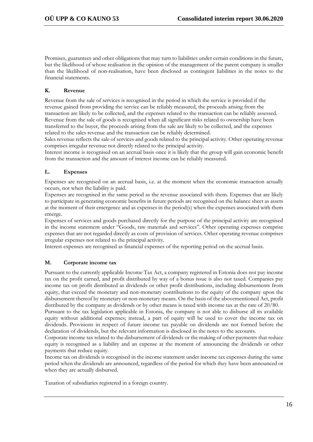Promises, guarantees and other obligations that may turn to liabilities under certain conditions in the future, but the likelihood of whose realisation in the opinion of the management of the parent company is smaller than the likelihood of non-realisation, have been disclosed as contingent liabilities in the notes to the financial statements.

# **K. Revenue**

Revenue from the sale of services is recognised in the period in which the service is provided if the revenue gained from providing the service can be reliably measured, the proceeds arising from the transaction are likely to be collected, and the expenses related to the transaction can be reliably assessed. Revenue from the sale of goods is recognised when all significant risks related to ownership have been transferred to the buyer, the proceeds arising from the sale are likely to be collected, and the expenses related to the sales revenue and the transaction can be reliably determined.

Sales revenue reflects the sale of services and goods related to the principal activity. Other operating revenue comprises irregular revenue not directly related to the principal activity.

Interest income is recognised on an accrual basis once it is likely that the group will gain economic benefit from the transaction and the amount of interest income can be reliably measured.

# **L. Expenses**

Expenses are recognised on an accrual basis, i.e. at the moment when the economic transaction actually occurs, not when the liability is paid.

Expenses are recognised in the same period as the revenue associated with them. Expenses that are likely to participate in generating economic benefits in future periods are recognised on the balance sheet as assets at the moment of their emergence and as expenses in the period(s) when the expenses associated with them emerge.

Expenses of services and goods purchased directly for the purpose of the principal activity are recognised in the income statement under "Goods, raw materials and services". Other operating expenses comprise expenses that are not regarded directly as costs of provision of services. Other operating revenue comprises irregular expenses not related to the principal activity.

Interest expenses are recognised as financial expenses of the reporting period on the accrual basis.

# **M. Corporate income tax**

Pursuant to the currently applicable Income Tax Act, a company registered in Estonia does not pay income tax on the profit earned, and profit distributed by way of a bonus issue is also not taxed. Companies pay income tax on profit distributed as dividends or other profit distributions, including disbursements from equity, that exceed the monetary and non-monetary contributions to the equity of the company upon the disbursement thereof by monetary or non-monetary means. On the basis of the abovementioned Act, profit distributed by the company as dividends or by other means is taxed with income tax at the rate of 20/80.

Pursuant to the tax legislation applicable in Estonia, the company is not able to disburse all its available equity without additional expenses; instead, a part of equity will be used to cover the income tax on dividends. Provisions in respect of future income tax payable on dividends are not formed before the declaration of dividends, but the relevant information is disclosed in the notes to the accounts.

Corporate income tax related to the disbursement of dividends or the making of other payments that reduce equity is recognised as a liability and an expense at the moment of announcing the dividends or other payments that reduce equity.

Income tax on dividends is recognised in the income statement under income tax expenses during the same period when the dividends are announced, regardless of the period for which they have been announced or when they are actually disbursed.

Taxation of subsidiaries registered in a foreign country.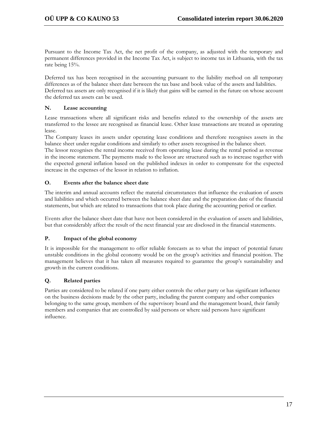Pursuant to the Income Tax Act, the net profit of the company, as adjusted with the temporary and permanent differences provided in the Income Tax Act, is subject to income tax in Lithuania, with the tax rate being 15%.

Deferred tax has been recognised in the accounting pursuant to the liability method on all temporary differences as of the balance sheet date between the tax base and book value of the assets and liabilities. Deferred tax assets are only recognised if it is likely that gains will be earned in the future on whose account the deferred tax assets can be used.

### **N. Lease accounting**

Lease transactions where all significant risks and benefits related to the ownership of the assets are transferred to the lessee are recognised as financial lease. Other lease transactions are treated as operating lease.

The Company leases its assets under operating lease conditions and therefore recognises assets in the balance sheet under regular conditions and similarly to other assets recognised in the balance sheet.

The lessor recognises the rental income received from operating lease during the rental period as revenue in the income statement. The payments made to the lessor are structured such as to increase together with the expected general inflation based on the published indexes in order to compensate for the expected increase in the expenses of the lessor in relation to inflation.

### **O. Events after the balance sheet date**

The interim and annual accounts reflect the material circumstances that influence the evaluation of assets and liabilities and which occurred between the balance sheet date and the preparation date of the financial statements, but which are related to transactions that took place during the accounting period or earlier.

Events after the balance sheet date that have not been considered in the evaluation of assets and liabilities, but that considerably affect the result of the next financial year are disclosed in the financial statements.

#### **P. Impact of the global economy**

It is impossible for the management to offer reliable forecasts as to what the impact of potential future unstable conditions in the global economy would be on the group's activities and financial position. The management believes that it has taken all measures required to guarantee the group's sustainability and growth in the current conditions.

# **Q. Related parties**

Parties are considered to be related if one party either controls the other party or has significant influence on the business decisions made by the other party, including the parent company and other companies belonging to the same group, members of the supervisory board and the management board, their family members and companies that are controlled by said persons or where said persons have significant influence.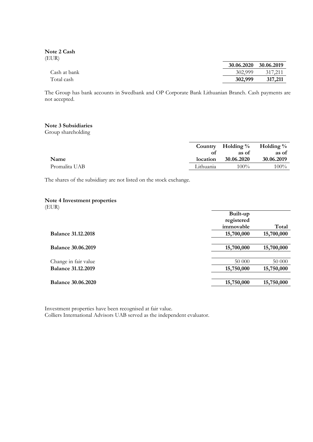**Note 2 Cash** (EUR)

|              | 30.06.2020 30.06.2019 |         |
|--------------|-----------------------|---------|
| Cash at bank | 302.999               | 317.211 |
| Total cash   | 302,999               | 317,211 |

The Group has bank accounts in Swedbank and OP Corporate Bank Lithuanian Branch. Cash payments are not accepted.

#### **Note 3 Subsidiaries**

Group shareholding

|               |           | Country Holding $\%$ Holding $\%$ |            |
|---------------|-----------|-----------------------------------|------------|
|               | Ωt        | as of                             | as of      |
| Name          | location  | 30.06.2020                        | 30.06.2019 |
| Promalita UAB | Lithuania | $100\%$                           | $100\%$    |

The shares of the subsidiary are not listed on the stock exchange.

### **Note 4 Investment properties**

(EUR)

|                           | Built-up   |            |
|---------------------------|------------|------------|
|                           | registered |            |
|                           | immovable  | Total      |
| <b>Balance 31.12.2018</b> | 15,700,000 | 15,700,000 |
|                           |            |            |
| <b>Balance 30.06.2019</b> | 15,700,000 | 15,700,000 |
|                           |            |            |
| Change in fair value      | 50 000     | 50 000     |
| <b>Balance 31.12.2019</b> | 15,750,000 | 15,750,000 |
|                           |            |            |
| <b>Balance 30.06.2020</b> | 15,750,000 | 15,750,000 |
|                           |            |            |

Investment properties have been recognised at fair value. Colliers International Advisors UAB served as the independent evaluator.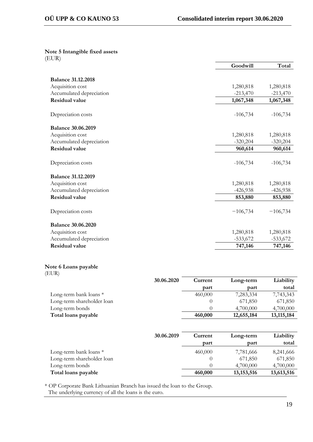**Note 5 Intangible fixed assets** (EUR)

|                           | Goodwill   | Total      |
|---------------------------|------------|------------|
|                           |            |            |
| <b>Balance 31.12.2018</b> |            |            |
| Acquisition cost          | 1,280,818  | 1,280,818  |
| Accumulated depreciation  | $-213,470$ | $-213,470$ |
| <b>Residual value</b>     | 1,067,348  | 1,067,348  |
|                           |            |            |
| Depreciation costs        | $-106,734$ | $-106,734$ |
| <b>Balance 30.06.2019</b> |            |            |
| Acquisition cost          | 1,280,818  | 1,280,818  |
| Accumulated depreciation  | $-320,204$ | $-320,204$ |
| <b>Residual value</b>     | 960,614    | 960,614    |
| Depreciation costs        | $-106,734$ | $-106,734$ |
|                           |            |            |
| <b>Balance 31.12.2019</b> |            |            |
| Acquisition cost          | 1,280,818  | 1,280,818  |
| Accumulated depreciation  | $-426,938$ | $-426,938$ |
| <b>Residual value</b>     | 853,880    | 853,880    |
|                           |            |            |
| Depreciation costs        | $-106,734$ | $-106,734$ |
| <b>Balance 30.06.2020</b> |            |            |
| Acquisition cost          | 1,280,818  | 1,280,818  |
| Accumulated depreciation  | $-533,672$ | $-533,672$ |
| <b>Residual value</b>     | 747,146    | 747,146    |

# **Note 6 Loans payable**

| (EUR)                      |            |         |            |              |
|----------------------------|------------|---------|------------|--------------|
|                            | 30.06.2020 | Current | Long-term  | Liability    |
|                            |            | part    | part       | total        |
| Long-term bank loans $*$   |            | 460,000 | 7,283,334  | 7,743,343    |
| Long-term shareholder loan |            |         | 671,850    | 671,850      |
| Long-term bonds            |            |         | 4,700,000  | 4,700,000    |
| Total loans payable        |            | 460,000 | 12,655,184 | 13, 115, 184 |

|                            | 30.06.2019 | Current<br>part | Long-term<br>part | Liability<br>total |
|----------------------------|------------|-----------------|-------------------|--------------------|
| Long-term bank loans $*$   |            | 460,000         | 7,781,666         | 8,241,666          |
| Long-term shareholder loan |            |                 | 671,850           | 671,850            |
| Long-term bonds            |            |                 | 4,700,000         | 4,700,000          |
| Total loans payable        |            | 460,000         | 13, 153, 516      | 13,613,516         |

\* OP Corporate Bank Lithuanian Branch has issued the loan to the Group. The underlying currency of all the loans is the euro.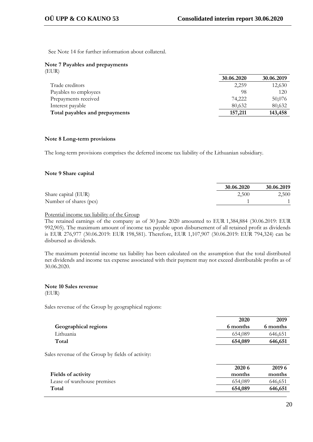See Note 14 for further information about collateral.

|       |  | Note 7 Payables and prepayments |  |
|-------|--|---------------------------------|--|
| (EUR) |  |                                 |  |

|                                | 30.06.2020 | 30.06.2019 |
|--------------------------------|------------|------------|
| Trade creditors                | 2,259      | 12,630     |
| Payables to employees          | 98         | 120        |
| Prepayments received           | 74,222     | 50,076     |
| Interest payable               | 80.632     | 80,632     |
| Total payables and prepayments | 157,211    | 143,458    |

#### **Note 8 Long-term provisions**

The long-term provisions comprises the deferred income tax liability of the Lithuanian subsidiary.

#### **Note 9 Share capital**

|                        | 30.06.2020 | 30.06.2019 |
|------------------------|------------|------------|
| Share capital (EUR)    | 2,500      | 2,500      |
| Number of shares (pcs) |            |            |

#### Potential income tax liability of the Group

The retained earnings of the company as of 30 June 2020 amounted to EUR 1,384,884 (30.06.2019: EUR 992,905). The maximum amount of income tax payable upon disbursement of all retained profit as dividends is EUR 276,977 (30.06.2019: EUR 198,581). Therefore, EUR 1,107,907 (30.06.2019: EUR 794,324) can be disbursed as dividends.

The maximum potential income tax liability has been calculated on the assumption that the total distributed net dividends and income tax expense associated with their payment may not exceed distributable profits as of 30.06.2020.

#### **Note 10 Sales revenue** (EUR)

Sales revenue of the Group by geographical regions:

|                      | 2020     | 2019     |
|----------------------|----------|----------|
| Geographical regions | 6 months | 6 months |
| Lithuania            | 654,089  | 646,651  |
| Total                | 654,089  | 646,651  |
|                      |          |          |

Sales revenue of the Group by fields of activity:

|                             | 2020 6  | 2019 6  |
|-----------------------------|---------|---------|
| <b>Fields of activity</b>   | months  | months  |
| Lease of warehouse premises | 654,089 | 646,651 |
| Total                       | 654,089 | 646,651 |
|                             |         |         |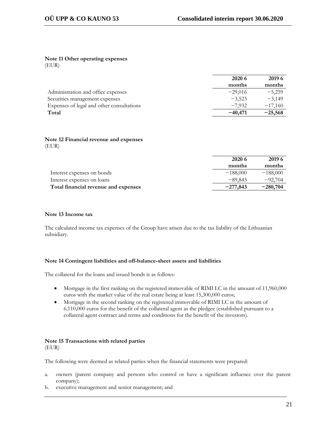#### **Note 11 Other operating expenses** (EUR)

|                                           | 2020 6    | 2019 6    |
|-------------------------------------------|-----------|-----------|
|                                           | months    | months    |
| Administration and office expenses        | $-29.016$ | $-5.259$  |
| Securities management expenses            | $-3,523$  | $-3.149$  |
| Expenses of legal and other consultations | $-7.932$  | $-17,160$ |
| Total                                     | $-40,471$ | $-25,568$ |

#### **Note 12 Financial revenue and expenses** (EUR)

|                                      | 2020 6     | 2019 6     |
|--------------------------------------|------------|------------|
|                                      | months     | months     |
| Interest expenses on bonds           | $-188,000$ | $-188,000$ |
| Interest expenses on loans           | $-89.843$  | $-92,704$  |
| Total financial revenue and expenses | $-277.843$ | $-280,704$ |

### **Note 13 Income tax**

The calculated income tax expenses of the Group have arisen due to the tax liability of the Lithuanian subsidiary.

#### **Note 14 Contingent liabilities and off-balance-sheet assets and liabilities**

The collateral for the loans and issued bonds is as follows:

- Mortgage in the first ranking on the registered immovable of RIMI LC in the amount of 11,960,000 euros with the market value of the real estate being at least 15,300,000 euros;
- Mortgage in the second ranking on the registered immovable of RIMI LC in the amount of 6,110,000 euros for the benefit of the collateral agent as the pledgee (established pursuant to a collateral agent contract and terms and conditions for the benefit of the investors).

# **Note 15 Transactions with related parties**

(EUR)

The following were deemed as related parties when the financial statements were prepared:

- a. owners (parent company and persons who control or have a significant influence over the parent company);
- b. executive management and senior management; and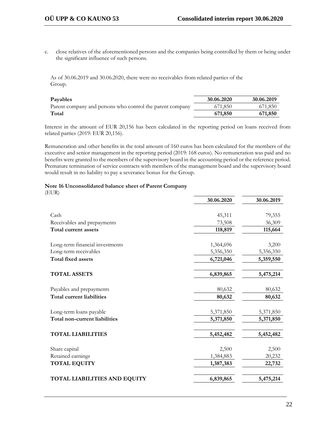c. close relatives of the aforementioned persons and the companies being controlled by them or being under the significant influence of such persons.

As of 30.06.2019 and 30.06.2020, there were no receivables from related parties of the Group.

| Payables                                                  | 30.06.2020 | 30.06.2019 |
|-----------------------------------------------------------|------------|------------|
| Parent company and persons who control the parent company | 671,850    | 671,850    |
| Total                                                     | 671,850    | 671,850    |

Interest in the amount of EUR 20,156 has been calculated in the reporting period on loans received from related parties (2019: EUR 20,156).

Remuneration and other benefits in the total amount of 160 euros has been calculated for the members of the executive and senior management in the reporting period (2019: 168 euros). No remuneration was paid and no benefits were granted to the members of the supervisory board in the accounting period or the reference period. Premature termination of service contracts with members of the management board and the supervisory board would result in no liability to pay a severance bonus for the Group.

### **Note 16 Unconsolidated balance sheet of Parent Company**

| (EUR)                                |            |            |
|--------------------------------------|------------|------------|
|                                      | 30.06.2020 | 30.06.2019 |
| Cash                                 | 45,311     | 79,355     |
| Receivables and prepayments          | 73,508     | 36,309     |
| <b>Total current assets</b>          | 118,819    | 115,664    |
|                                      |            |            |
| Long-term financial investments      | 1,364,696  | 3,200      |
| Long-term receivables                | 5,356,350  | 5,356,350  |
| <b>Total fixed assets</b>            | 6,721,046  | 5,359,550  |
| <b>TOTAL ASSETS</b>                  | 6,839,865  | 5,475,214  |
| Payables and prepayments             | 80,632     | 80,632     |
| <b>Total current liabilities</b>     | 80,632     | 80,632     |
| Long-term loans payable              | 5,371,850  | 5,371,850  |
| <b>Total non-current liabilities</b> | 5,371,850  | 5,371,850  |
| <b>TOTAL LIABILITIES</b>             | 5,452,482  | 5,452,482  |
|                                      |            |            |
| Share capital                        | 2,500      | 2,500      |
| Retained earnings                    | 1,384,883  | 20,232     |
| <b>TOTAL EQUITY</b>                  | 1,387,383  | 22,732     |
| <b>TOTAL LIABILITIES AND EQUITY</b>  | 6,839,865  | 5,475,214  |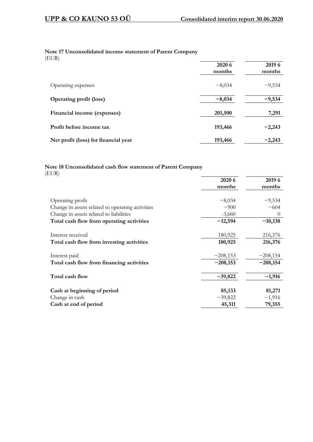# **Note 17 Unconsolidated income statement of Parent Company**

(EUR)

|                                      | 2020 6<br>months | 2019 6<br>months |
|--------------------------------------|------------------|------------------|
| Operating expenses                   | $-8,034$         | $-9,534$         |
| <b>Operating profit (loss)</b>       | $-8,034$         | $-9,534$         |
| Financial income (expenses)          | 201,500          | 7,291            |
| Profit before income tax             | 193,466          | $-2,243$         |
| Net profit (loss) for financial year | 193,466          | $-2,243$         |

### **Note 18 Unconsolidated cash flow statement of Parent Company** (EUR)

|                                                  | 2020 6     | 2019 6     |
|--------------------------------------------------|------------|------------|
|                                                  | months     | months     |
|                                                  |            |            |
| Operating profit                                 | $-8,034$   | $-9,534$   |
| Change in assets related to operating activities | $-900$     | $-604$     |
| Change in assets related to liabilities          | $-3,660$   | $\theta$   |
| Total cash flow from operating activities        | $-12,594$  | $-10,138$  |
| Interest received                                | 180,925    | 216,376    |
| Total cash flow from investing activities        | 180,925    | 216,376    |
|                                                  |            |            |
| Interest paid                                    | $-208,153$ | $-208,154$ |
| Total cash flow from financing activities        | $-208,153$ | $-208,154$ |
| Total cash flow                                  | $-39,822$  | $-1,916$   |
|                                                  |            |            |
| Cash at beginning of period                      | 85,133     | 81,271     |
| Change in cash                                   | $-39,822$  | $-1,916$   |
| Cash at end of period                            | 45,311     | 79,355     |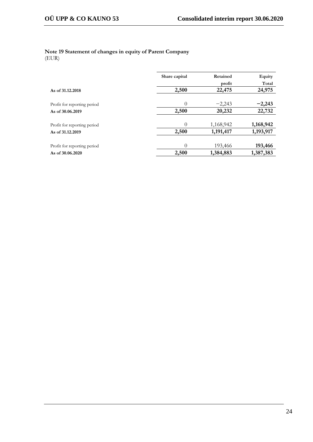#### **Note 19 Statement of changes in equity of Parent Company** (EUR)

|                             | Share capital | Retained  | Equity    |  |  |
|-----------------------------|---------------|-----------|-----------|--|--|
|                             |               | profit    | Total     |  |  |
| As of 31,12,2018            | 2,500         | 22,475    | 24,975    |  |  |
|                             |               |           |           |  |  |
| Profit for reporting period | $\theta$      | $-2,243$  | $-2,243$  |  |  |
| As of 30,06,2019            | 2,500         | 20,232    | 22,732    |  |  |
|                             |               |           |           |  |  |
| Profit for reporting period | $\theta$      | 1,168,942 | 1,168,942 |  |  |
| As of 31.12.2019            | 2,500         | 1,191,417 | 1,193,917 |  |  |
|                             |               |           |           |  |  |
| Profit for reporting period | $\Omega$      | 193,466   | 193,466   |  |  |
| As of 30.06.2020            | 2,500         | 1,384,883 | 1,387,383 |  |  |